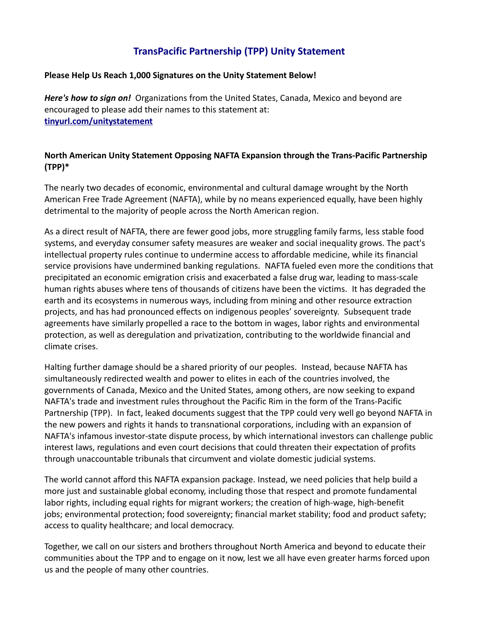## **TransPacific Partnership (TPP) Unity Statement**

## **Please Help Us Reach 1,000 Signatures on the Unity Statement Below!**

*Here's how to sign on!* Organizations from the United States, Canada, Mexico and beyond are encouraged to please add their names to this statement at: **[tinyurl.com/unitystatement](http://www.tinyurl.com/unitystatement)**

## **North American Unity Statement Opposing NAFTA Expansion through the Trans-Pacific Partnership (TPP)\***

The nearly two decades of economic, environmental and cultural damage wrought by the North American Free Trade Agreement (NAFTA), while by no means experienced equally, have been highly detrimental to the majority of people across the North American region.

As a direct result of NAFTA, there are fewer good jobs, more struggling family farms, less stable food systems, and everyday consumer safety measures are weaker and social inequality grows. The pact's intellectual property rules continue to undermine access to affordable medicine, while its financial service provisions have undermined banking regulations. NAFTA fueled even more the conditions that precipitated an economic emigration crisis and exacerbated a false drug war, leading to mass-scale human rights abuses where tens of thousands of citizens have been the victims. It has degraded the earth and its ecosystems in numerous ways, including from mining and other resource extraction projects, and has had pronounced effects on indigenous peoples' sovereignty. Subsequent trade agreements have similarly propelled a race to the bottom in wages, labor rights and environmental protection, as well as deregulation and privatization, contributing to the worldwide financial and climate crises.

Halting further damage should be a shared priority of our peoples. Instead, because NAFTA has simultaneously redirected wealth and power to elites in each of the countries involved, the governments of Canada, Mexico and the United States, among others, are now seeking to expand NAFTA's trade and investment rules throughout the Pacific Rim in the form of the Trans-Pacific Partnership (TPP). In fact, leaked documents suggest that the TPP could very well go beyond NAFTA in the new powers and rights it hands to transnational corporations, including with an expansion of NAFTA's infamous investor-state dispute process, by which international investors can challenge public interest laws, regulations and even court decisions that could threaten their expectation of profits through unaccountable tribunals that circumvent and violate domestic judicial systems.

The world cannot afford this NAFTA expansion package. Instead, we need policies that help build a more just and sustainable global economy, including those that respect and promote fundamental labor rights, including equal rights for migrant workers; the creation of high-wage, high-benefit jobs; environmental protection; food sovereignty; financial market stability; food and product safety; access to quality healthcare; and local democracy.

Together, we call on our sisters and brothers throughout North America and beyond to educate their communities about the TPP and to engage on it now, lest we all have even greater harms forced upon us and the people of many other countries.